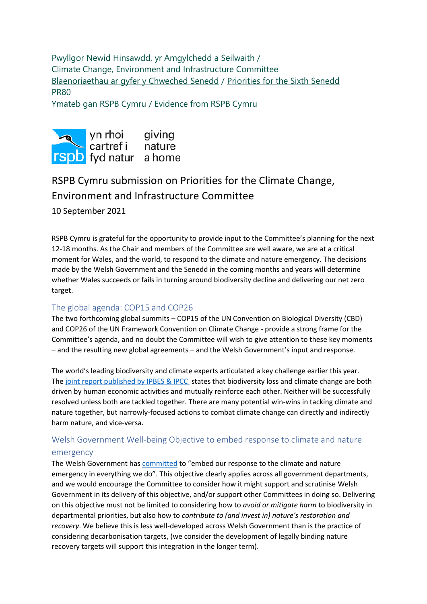Pwyllgor Newid Hinsawdd, yr Amgylchedd a Seilwaith / Climate Change, Environment and Infrastructure Committee [Blaenoriaethau ar gyfer y Chweched Senedd](https://busnes.senedd.cymru/mgConsultationDisplay.aspx?id=427&RPID=1026452002&cp=yes) / [Priorities for the Sixth Senedd](https://business.senedd.wales/mgConsultationDisplay.aspx?id=427&RPID=1026452002&cp=yes) PR80

Ymateb gan RSPB Cymru / Evidence from RSPB Cymru



# RSPB Cymru submission on Priorities for the Climate Change, Environment and Infrastructure Committee 10 September 2021

RSPB Cymru is grateful for the opportunity to provide input to the Committee's planning for the next 12-18 months. As the Chair and members of the Committee are well aware, we are at a critical moment for Wales, and the world, to respond to the climate and nature emergency. The decisions made by the Welsh Government and the Senedd in the coming months and years will determine whether Wales succeeds or fails in turning around biodiversity decline and delivering our net zero target.

## The global agenda: COP15 and COP26

The two forthcoming global summits – COP15 of the UN Convention on Biological Diversity (CBD) and COP26 of the UN Framework Convention on Climate Change - provide a strong frame for the Committee's agenda, and no doubt the Committee will wish to give attention to these key moments – and the resulting new global agreements – and the Welsh Government's input and response.

The world's leading biodiversity and climate experts articulated a key challenge earlier this year. The [joint report published by IPBES & IPCC](https://www.ipbes.net/events/launch-ipbes-ipcc-co-sponsored-workshop-report-biodiversity-and-climate-change) states that biodiversity loss and climate change are both driven by human economic activities and mutually reinforce each other. Neither will be successfully resolved unless both are tackled together. There are many potential win-wins in tacking climate and nature together, but narrowly-focused actions to combat climate change can directly and indirectly harm nature, and vice-versa.

### Welsh Government Well-being Objective to embed response to climate and nature emergency

The Welsh Government has [committed](https://gov.wales/sites/default/files/publications/2021-06/programme-for-government-2021-to-2026.pdf) to "embed our response to the climate and nature emergency in everything we do". This objective clearly applies across all government departments, and we would encourage the Committee to consider how it might support and scrutinise Welsh Government in its delivery of this objective, and/or support other Committees in doing so. Delivering on this objective must not be limited to considering how to *avoid or mitigate harm* to biodiversity in departmental priorities, but also how to *contribute to (and invest in) nature's restoration and recovery*. We believe this is less well-developed across Welsh Government than is the practice of considering decarbonisation targets, (we consider the development of legally binding nature recovery targets will support this integration in the longer term).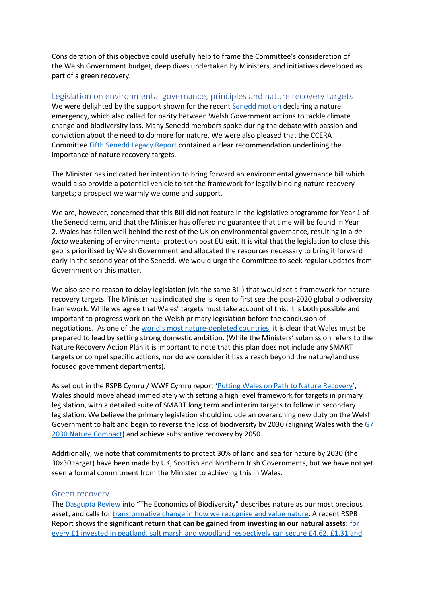Consideration of this objective could usefully help to frame the Committee's consideration of the Welsh Government budget, deep dives undertaken by Ministers, and initiatives developed as part of a green recovery.

#### Legislation on environmental governance, principles and nature recovery targets

We were delighted by the support shown for the recent [Senedd motion](https://record.senedd.wales/Motion/7725) declaring a nature emergency, which also called for parity between Welsh Government actions to tackle climate change and biodiversity loss. Many Senedd members spoke during the debate with passion and conviction about the need to do more for nature. We were also pleased that the CCERA Committee [Fifth Senedd Legacy Report](https://senedd.wales/media/rzqeixsg/cr-ld14312-e.pdf) contained a clear recommendation underlining the importance of nature recovery targets.

The Minister has indicated her intention to bring forward an environmental governance bill which would also provide a potential vehicle to set the framework for legally binding nature recovery targets; a prospect we warmly welcome and support.

We are, however, concerned that this Bill did not feature in the legislative programme for Year 1 of the Senedd term, and that the Minister has offered no guarantee that time will be found in Year 2. Wales has fallen well behind the rest of the UK on environmental governance, resulting in a *de facto* weakening of environmental protection post EU exit. It is vital that the legislation to close this gap is prioritised by Welsh Government and allocated the resources necessary to bring it forward early in the second year of the Senedd. We would urge the Committee to seek regular updates from Government on this matter.

We also see no reason to delay legislation (via the same Bill) that would set a framework for nature recovery targets. The Minister has indicated she is keen to first see the post-2020 global biodiversity framework. While we agree that Wales' targets must take account of this, it is both possible and important to progress work on the Welsh primary legislation before the conclusion of negotiations. As one of the [world's most nature](https://www.rspb.org.uk/about-the-rspb/about-us/media-centre/press-releases/new-report-shows-wales-close-to-bottom-of-international-league-table-for-nature/)-depleted countries, it is clear that Wales must be prepared to lead by setting strong domestic ambition. (While the Ministers' submission refers to the Nature Recovery Action Plan it is important to note that this plan does not include any SMART targets or compel specific actions, nor do we consider it has a reach beyond the nature/land use focused government departments).

As set out in the RSPB Cymru / WWF Cymru report '[Putting Wales on Path to Nature Recovery](https://waleslink.org/new-report-shows-need-for-nature-recovery-targets-in-wales/)', Wales should move ahead immediately with setting a high level framework for targets in primary legislation, with a detailed suite of SMART long term and interim targets to follow in secondary legislation. We believe the primary legislation should include an overarching new duty on the Welsh Government to halt and begin to reverse the loss of biodiversity by 2030 (aligning Wales with th[e G7](https://www.g7uk.org/wp-content/uploads/2021/06/G7-2030-Nature-Compact-PDF-120KB-4-pages.pdf)  [2030 Nature Compact\)](https://www.g7uk.org/wp-content/uploads/2021/06/G7-2030-Nature-Compact-PDF-120KB-4-pages.pdf) and achieve substantive recovery by 2050.

Additionally, we note that commitments to protect 30% of land and sea for nature by 2030 (the 30x30 target) have been made by UK, Scottish and Northern Irish Governments, but we have not yet seen a formal commitment from the Minister to achieving this in Wales.

#### Green recovery

The [Dasgupta Review](https://www.gov.uk/government/publications/final-report-the-economics-of-biodiversity-the-dasgupta-review) into "The Economics of Biodiversity" describes nature as our most precious asset, and calls for [transformative change in how we recognise and value nature.](https://www.rspb.org.uk/our-work/policy-insight/wildlife-and-the-economy/) A recent RSPB Report shows the **significant return that can be gained from investing in our natural assets:** [for](https://www.rspb.org.uk/globalassets/downloads/documents/positions/the-economic-costs--benefits-of-nature-based-solutions_final-report_final_v3.pdf)  [every £1 invested in peatland, salt marsh and woodland respectively can secure £4.62, £1.31 and](https://www.rspb.org.uk/globalassets/downloads/documents/positions/the-economic-costs--benefits-of-nature-based-solutions_final-report_final_v3.pdf)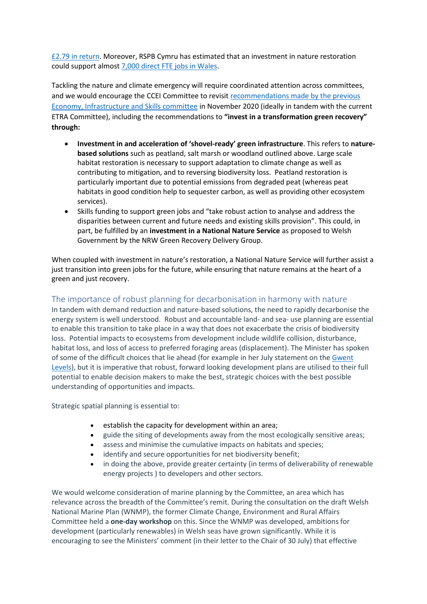[£2.79 in return.](https://www.rspb.org.uk/globalassets/downloads/documents/positions/the-economic-costs--benefits-of-nature-based-solutions_final-report_final_v3.pdf) Moreover, RSPB Cymru has estimated that an investment in nature restoration could support almost [7,000 direct FTE jobs in Wales.](https://www.academia.edu/50934538/Developing_a_Green_Workforce_in_Wales_Estimating_the_Scale_of_the_Need_and_Opportunity)

Tackling the nature and climate emergency will require coordinated attention across committees, and we would encourage the CCEI Committee to revisit [recommendations made by the previous](https://senedd.wales/media/lpzl3j1d/cr-ld14182-e.pdf)  [Economy, Infrastructure and Skills committee](https://senedd.wales/media/lpzl3j1d/cr-ld14182-e.pdf) in November 2020 (ideally in tandem with the current ETRA Committee), including the recommendations to **"invest in a transformation green recovery" through:**

- **Investment in and acceleration of 'shovel-ready' green infrastructure**. This refers to **naturebased solutions** such as peatland, salt marsh or woodland outlined above. Large scale habitat restoration is necessary to support adaptation to climate change as well as contributing to mitigation, and to reversing biodiversity loss. Peatland restoration is particularly important due to potential emissions from degraded peat (whereas peat habitats in good condition help to sequester carbon, as well as providing other ecosystem services).
- Skills funding to support green jobs and "take robust action to analyse and address the disparities between current and future needs and existing skills provision". This could, in part, be fulfilled by an **investment in a National Nature Service** as proposed to Welsh Government by the NRW Green Recovery Delivery Group.

When coupled with investment in nature's restoration, a National Nature Service will further assist a just transition into green jobs for the future, while ensuring that nature remains at the heart of a green and just recovery.

#### The importance of robust planning for decarbonisation in harmony with nature

In tandem with demand reduction and nature-based solutions, the need to rapidly decarbonise the energy system is well understood. Robust and accountable land- and sea- use planning are essential to enable this transition to take place in a way that does not exacerbate the crisis of biodiversity loss. Potential impacts to ecosystems from development include wildlife collision, disturbance, habitat loss, and loss of access to preferred foraging areas (displacement). The Minister has spoken of some of the difficult choices that lie ahead (for example in her July statement on the [Gwent](https://gov.wales/written-statement-taking-action-better-protect-and-manage-gwent-levels)  [Levels\)](https://gov.wales/written-statement-taking-action-better-protect-and-manage-gwent-levels), but it is imperative that robust, forward looking development plans are utilised to their full potential to enable decision makers to make the best, strategic choices with the best possible understanding of opportunities and impacts.

Strategic spatial planning is essential to:

- establish the capacity for development within an area;
- guide the siting of developments away from the most ecologically sensitive areas;
- assess and minimise the cumulative impacts on habitats and species;
- identify and secure opportunities for net biodiversity benefit;
- in doing the above, provide greater certainty (in terms of deliverability of renewable energy projects ) to developers and other sectors.

We would welcome consideration of marine planning by the Committee, an area which has relevance across the breadth of the Committee's remit. During the consultation on the draft Welsh National Marine Plan (WNMP), the former Climate Change, Environment and Rural Affairs Committee held a **one-day workshop** on this. Since the WNMP was developed, ambitions for development (particularly renewables) in Welsh seas have grown significantly. While it is encouraging to see the Ministers' comment (in their letter to the Chair of 30 July) that effective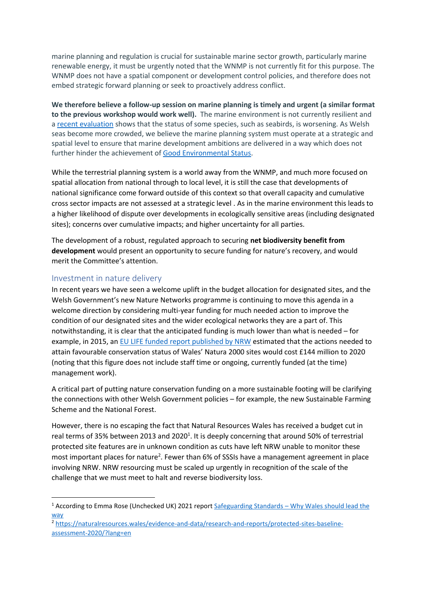marine planning and regulation is crucial for sustainable marine sector growth, particularly marine renewable energy, it must be urgently noted that the WNMP is not currently fit for this purpose. The WNMP does not have a spatial component or development control policies, and therefore does not embed strategic forward planning or seek to proactively address conflict.

**We therefore believe a follow-up session on marine planning is timely and urgent (a similar format to the previous workshop would work well).** The marine environment is not currently resilient and a [recent evaluation](https://moat.cefas.co.uk/summary-of-progress-towards-good-environmental-status/) shows that the status of some species, such as seabirds, is worsening. As Welsh seas become more crowded, we believe the marine planning system must operate at a strategic and spatial level to ensure that marine development ambitions are delivered in a way which does not further hinder the achievement of [Good Environmental Status.](https://moat.cefas.co.uk/summary-of-progress-towards-good-environmental-status/)

While the terrestrial planning system is a world away from the WNMP, and much more focused on spatial allocation from national through to local level, it is still the case that developments of national significance come forward outside of this context so that overall capacity and cumulative cross sector impacts are not assessed at a strategic level . As in the marine environment this leads to a higher likelihood of dispute over developments in ecologically sensitive areas (including designated sites); concerns over cumulative impacts; and higher uncertainty for all parties.

The development of a robust, regulated approach to securing **net biodiversity benefit from development** would present an opportunity to secure funding for nature's recovery, and would merit the Committee's attention.

#### Investment in nature delivery

In recent years we have seen a welcome uplift in the budget allocation for designated sites, and the Welsh Government's new Nature Networks programme is continuing to move this agenda in a welcome direction by considering multi-year funding for much needed action to improve the condition of our designated sites and the wider ecological networks they are a part of. This notwithstanding, it is clear that the anticipated funding is much lower than what is needed – for example, in 2015, an [EU LIFE funded report published by NRW](https://gov.wales/sites/default/files/publications/2019-05/prioritised-action-framework-for-natura-2000-wales.pdf) estimated that the actions needed to attain favourable conservation status of Wales' Natura 2000 sites would cost £144 million to 2020 (noting that this figure does not include staff time or ongoing, currently funded (at the time) management work).

A critical part of putting nature conservation funding on a more sustainable footing will be clarifying the connections with other Welsh Government policies – for example, the new Sustainable Farming Scheme and the National Forest.

However, there is no escaping the fact that Natural Resources Wales has received a budget cut in real terms of 35% between 2013 and 2020<sup>1</sup>. It is deeply concerning that around 50% of terrestrial protected site features are in unknown condition as cuts have left NRW unable to monitor these most important places for nature<sup>2</sup>. Fewer than 6% of SSSIs have a management agreement in place involving NRW. NRW resourcing must be scaled up urgently in recognition of the scale of the challenge that we must meet to halt and reverse biodiversity loss.

<sup>&</sup>lt;sup>1</sup> According to Emma Rose (Unchecked UK) 2021 report Safeguarding Standards – Why Wales should lead the [way](https://unchecked.uk/wp-content/uploads/2021/02/Report-Safeguarding-standards-why-Wales-should-lead-the-way.pdf)

<sup>2</sup> [https://naturalresources.wales/evidence-and-data/research-and-reports/protected-sites-baseline](https://naturalresources.wales/evidence-and-data/research-and-reports/protected-sites-baseline-assessment-2020/?lang=en)[assessment-2020/?lang=en](https://naturalresources.wales/evidence-and-data/research-and-reports/protected-sites-baseline-assessment-2020/?lang=en)